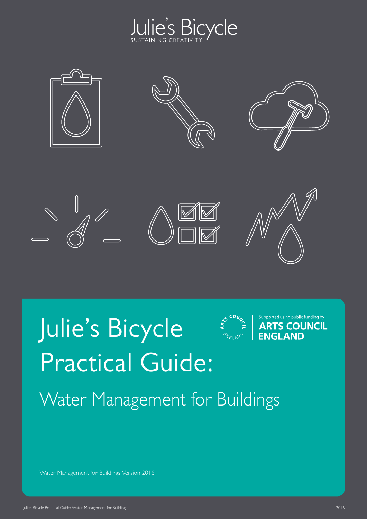



# Julie's Bicycle Practical Guide:



Supported using public funding by **ARTS COUNCIL ENGLAND** 

Water Management for Buildings

Water Management for Buildings Version 2016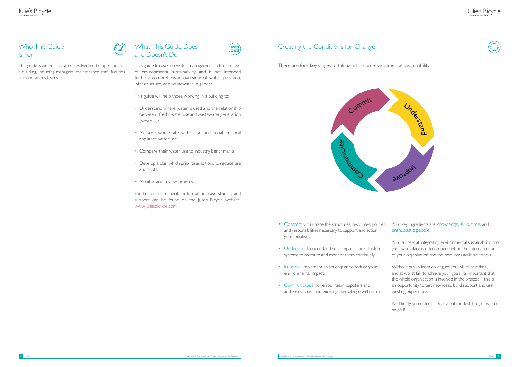- Commit: put in place the structures, resources, policies and responsibilities necessary to support and action your initiatives.
- Understand: understand your impacts and establish systems to measure and monitor them continually.
- Improve: implement an action plan to reduce your environmental impact.
- Communicate: involve your team, suppliers and audiences; share and exchange knowledge with others.

# Julie's Bicycle



Your success at integrating environmental sustainability into your workplace is often dependant on the internal culture of your organisation and the resources available to you.

Your key ingredients are knowledge, skills, time, and enthusiastic people.

- Understand where water is used and the relationship between "fresh" water use and wastewater generation (sewerage).
- Measure whole site water use and zonal or local appliance water use.
- Compare their water use to industry benchmarks.
- Develop a plan which prioritises actions to reduce use and costs.
- Monitor and review progress.

Without buy-in from colleagues you will at best limit, and at worst fail, to achieve your goals. It's important that the whole organisation is involved in the process – this is an opportunity to test new ideas, build support and use existing experience.

And finally, some dedicated, even if modest, budget is also helpful!

# Creating the Conditions for Change

There are four key stages to taking action on environmental sustainability:



#### Who This Guide Is For



This guide is aimed at anyone involved in the operation of a building, including managers, maintenance staff, facilities and operations teams.



This guide focuses on water management in the context of environmental sustainability and is not intended to be a comprehensive overview of water provision, infrastructure, and wastewater in general.

und<br>Und

This guide will help those working in a building to:

Further artform-specific information, case studies, and support can be found on the Julie's Bicycle website. <www.juliesbicycle.com>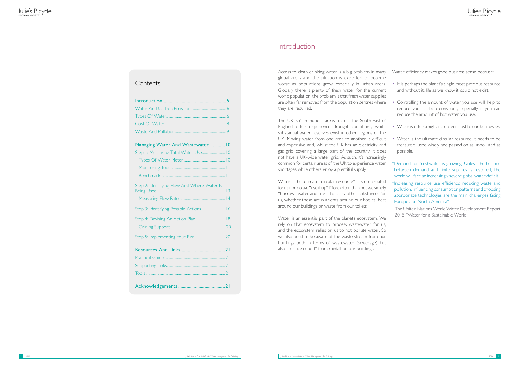# Introduction

#### **Contents**

Access to clean drinking water is a big problem in many global areas and the situation is expected to become worse as populations grow, especially in urban areas. Globally there is plenty of fresh water for the current world population; the problem is that fresh water supplies are often far removed from the population centres where they are required.

Water is an essential part of the planet's ecosystem. We rely on that ecosystem to process wastewater for us, and the ecosystem relies on us to not pollute water. So we also need to be aware of the waste stream from our buildings both in terms of wastewater (sewerage) but also "surface runoff" from rainfall on our buildings.

Water efficiency makes good business sense because:

The UK isn't immune – areas such as the South East of England often experience drought conditions, whilst substantial water reserves exist in other regions of the UK. Moving water from one area to another is difficult and expensive and, whilst the UK has an electricity and gas grid covering a large part of the country, it does not have a UK-wide water grid. As such, it's increasingly common for certain areas of the UK to experience water shortages while others enjoy a plentiful supply.

Water is the ultimate "circular resource". It is not created for us nor do we "use it up". More often than not we simply "borrow" water and use it to carry other substances for us, whether these are nutrients around our bodies, heat around our buildings or waste from our toilets.

- It is perhaps the planet's single most precious resource and without it, life as we know it could not exist.
- Controlling the amount of water you use will help to reduce your carbon emissions, especially if you can reduce the amount of hot water you use.
- Water is often a high and unseen cost to our businesses.
- Water is the ultimate circular resource: it needs to be treasured, used wisely and passed on as unpolluted as possible.
- "Demand for freshwater is growing. Unless the balance between demand and finite supplies is restored, the world will face an increasingly severe global water deficit."
- "Increasing resource use efficiency, reducing waste and pollution, influencing consumption patterns and choosing appropriate technologies are the main challenges facing Europe and North America".
- The United Nations World Water Development Report 2015 "Water for a Sustainable World"

<span id="page-2-0"></span>

| Managing Water And Wastewater 10           |
|--------------------------------------------|
| Step 1: Measuring Total Water Use 10       |
|                                            |
|                                            |
|                                            |
| Step 2: Identifying How And Where Water Is |
| Step 3: Identifying Possible Actions 16    |
| Step 4: Devising An Action Plan  18        |
|                                            |
|                                            |
|                                            |
|                                            |
|                                            |
|                                            |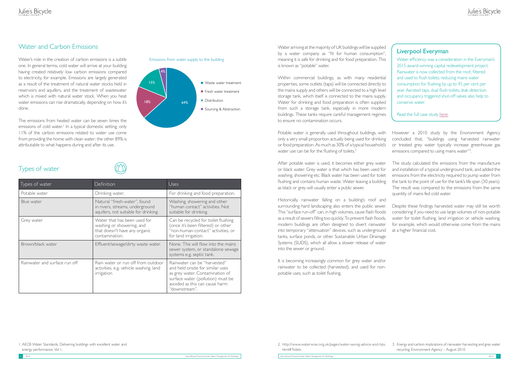## Water and Carbon Emissions

Water arriving at the majority of UK buildings will be supplied by a water company as "fit for human consumption", meaning it is safe for drinking and for food preparation. This is known as "potable" water.

Within commercial buildings, as with many residential properties, some outlets (taps) will be connected directly to the mains supply and others will be connected to a high level storage tank, which itself is connected to the mains supply. Water for drinking and food preparation is often supplied from such a storage tank, especially in more modern buildings. These tanks require careful management regimes to ensure no contamination occurs.

It is becoming increasingly common for grey water and/or rainwater to be collected (harvested), and used for nonpotable uses, such as toilet flushing.

Potable water is generally used throughout buildings, with only a very small proportion actually being used for drinking or food preparation. As much as 30% of a typical household's water use can be for the flushing of toilets.<sup>2</sup> However a 2010 study by the Environment Agency concluded that, "buildings using harvested rainwater or treated grey water typically increase greenhouse gas emissions compared to using mains water"<sup>3</sup>. .

After potable water is used, it becomes either grey water or black water. Grey water is that which has been used for washing, showering etc. Black water has been used for toilet flushing and contains human waste. Water leaving a building as black or grey will usually enter a public sewer. The study calculated the emissions from the manufacture and installation of a typical underground tank, and added the emissions from the electricity required to pump water from the tank to the point of use for the tank's life span (30 years). The result was compared to the emissions from the same quantity of mains fed cold water.

Historically, rainwater falling on a building's roof and surrounding hard landscaping also enters the public sewer. This "surface run-off" can, in high volumes, cause flash floods as a result of sewers filling too quickly. To prevent flash floods, modern buildings are often designed to divert rainwater into temporary "attenuation" devices, such as underground tanks, surface ponds, or other Sustainable Urban Drainage Systems (SUDS), which all allow a slower release of water into the sewer or ground. Despite these findings harvested water may still be worth considering if you need to use large volumes of non-potable water for toilet flushing, land irrigation or vehicle washing, for example, which would otherwise come from the mains at a higher financial cost.

Water efficiency was a consideration in the Everyman's 2015 award-winning capital redevelopment project. Rainwater is now collected from the roof, filtered and used to flush toilets, reducing mains water consumption for flushing by up to 45 per cent per year. Aerated taps, dual flush toilets, leak detection and occupancy triggered shut-off valves also help to conserve water.

Water's role in the creation of carbon emissions is a subtle one. In general terms, cold water will arrive at your building having created relatively low carbon emissions compared to electricity, for example. Emissions are largely generated as a result of the treatment of natural water stocks held in reservoirs and aquifers, and the treatment of wastewater which is mixed with natural water stock. When you heat water emissions can rise dramatically, depending on how it's done.

The emissions from heated water can be seven times the emissions of cold water.<sup>1</sup> In a typical domestic setting, only 11% of the carbon emissions related to water use come from providing the home with clean water; the other 89% is attributable to what happens during and after its use.

# . Types of water

| Types of water                | <b>Definition</b>                                                                                            | Uses                                                                                                                                                                                        |
|-------------------------------|--------------------------------------------------------------------------------------------------------------|---------------------------------------------------------------------------------------------------------------------------------------------------------------------------------------------|
| Potable water                 | Drinking water.                                                                                              | For drinking and food preparation.                                                                                                                                                          |
| Blue water                    | Natural "fresh-water", found<br>in rivers, streams, underground<br>aquifers, not suitable for drinking.      | Washing, showering and other<br>"human contact" activities. Not<br>suitable for drinking.                                                                                                   |
| Grey water                    | Water that has been used for<br>washing or showering, and<br>that doesn't have any organic<br>contamination. | Can be recycled for toilet flushing<br>(once it's been filtered) or other<br>"non-human-contact" activities, or<br>for land irrigation.                                                     |
| Brown/black water             | Effluent/sewage/dirty waste water.                                                                           | None. This will flow into the mains<br>sewer system, or standalone sewage<br>systems e.g. septic tank.                                                                                      |
| Rainwater and surface run off | Rain water or run off from outdoor<br>activities, e.g. vehicle washing, land<br>irrigation                   | Rainwater can be "harvested"<br>and held onsite for similar uses<br>as grey water. Contamination of<br>surface water (pollution) must be<br>avoided as this can cause harm<br>"downstream". |

#### Liverpool Everyman

Read the full case study [here](http://www.juliesbicycle.com/latest/case-studies/5959-liverpool-everyman).





html#Toilets

1. AECB Water Standards, Delivering buildings with excellent water and energy performance, Vol 1,

<span id="page-3-0"></span>Julie's Bicycle Practical Guide: Water Management for Buildings Julie's Bicycle Practical Guide: Water Management for Buildings 2016 7

<sup>2.</sup> http://www.waterwise.org.uk/pages/water-saving-advice-and-tips. 3. Energy and carbon implications of rainwater harvesting and grey water recycling, Environment Agency – August 2010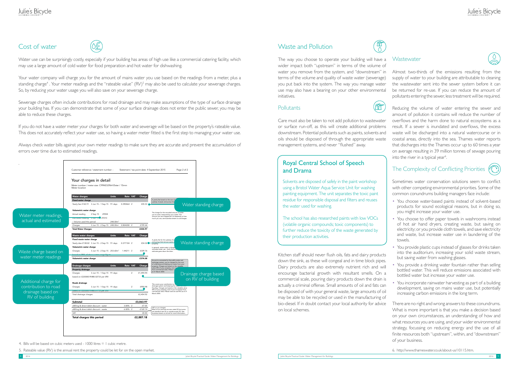#### Cost of water



Water use can be surprisingly costly, especially if your building has areas of high use like a commercial catering facility, which may use a large amount of cold water for food preparation and hot water for dishwashing.

Your water company will charge you for the amount of mains water you use based on the readings from a meter, plus a standing charge<sup>4</sup>. Your meter readings and the "rateable value" (RV)<sup>5</sup> may also be used to calculate your sewerage charges. So, by reducing your water usage you will also save on your sewerage charge.

Sewerage charges often include contributions for road drainage and may make assumptions of the type of surface drainage your building has. If you can demonstrate that some of your surface drainage does not enter the public sewer, you may be able to reduce these charges.

ff Care must also be taken to not add pollution to wastewater

or surface run-off, as this will create additional problems downstream. Potential pollutants such as paints, solvents and oils should be disposed of through the appropriate waste management systems, and never "flushed" away.

If you do not have a water meter your charges for both water and sewerage will be based on the property's rateable value. This does not accurately reflect your water use, so having a water meter fitted is the first step to managing your water use.

Always check water bills against your own meter readings to make sure they are accurate and prevent the accumulation of errors over time due to estimated readings.

> Kitchen staff should never flush oils, fats and dairy products down the sink, as these will congeal and in time block pipes. Dairy products are also extremely nutrient rich and will encourage bacterial growth with resultant smells. On a commercial scale, pouring dairy products down the drain is actually a criminal offense. Small amounts of oil and fats can be disposed of with your general waste, large amounts of oil may be able to be recycled or used in the manufacturing of bio-diesel. If in doubt contact your local authority for advice on local schemes.

Reducing the volume of water entering the sewer and amount of pollution it contains will reduce the number of overflows and the harm done to natural ecosystems as a result. If a sewer is inundated and overflows, the excess waste will be discharged into a natural watercourse or in coastal areas, directly into the sea. Thames water reports that discharges into the Thames occur up to 60 times a year on average resulting in 39 million tonnes of sewage pouring into the river in a typical year<sup>6</sup>.

The way you choose to operate your building will have a wider impact both "upstream" in terms of the volume of water you remove from the system, and "downstream" in terms of the volume and quality of waste water (sewerage) you put back into the system. The way you manage water use may also have a bearing on your other environmental initiatives.

#### **Pollutants**

Almost two-thirds of the emissions resulting from the supply of water to your building are attributable to cleaning the wastewater sent into the sewer system before it can be returned for re-use. If you can reduce the amount of pollutants entering the sewer, less treatment will be required.

#### The Complexity of Conflicting Priorities

Sometimes water conservation solutions seem to conflict with other competing environmental priorities. Some of the common conundrums building managers face include:

- You choose water-based paints instead of solvent-based products for sound ecological reasons, but in doing so, you might increase your water use.
- You choose to offer paper towels in washrooms instead of hot air hand dryers, creating waste, but saving on electricity; or you provide cloth towels, and save electricity and waste, but increase water use in laundering of the towels.
- You provide plastic cups instead of glasses for drinks taken into the auditorium, increasing your solid waste stream, but saving water from washing glasses.
- You provide a drinking water fountain rather than selling bottled water. This will reduce emissions associated with bottled water but increase your water use.
- You incorporate rainwater harvesting as part of a building development, saving on mains water use, but potentially increasing carbon emissions in the long term.

There are no right and wrong answers to these conundrums. What is more important is that you make a decision based on your own circumstances, an understanding of how and what resources you are using, and your wider environmental strategy, focussing on reducing energy and the use of all finite resources both "upstream", within, and "downstream" of your business.



#### Waste and Pollution



## Royal Central School of Speech and Drama

Solvents are disposed of safely in the paint workshop using a Bristol Water Aqua Service Unit for washing painting equipment. The unit separates the toxic paint residue for responsible disposal and filters and reuses the water used for washing.

The school has also researched paints with low VOCs (volatile organic compounds; toxic components) to further reduce the toxicity of the waste generated by their production activities.

6. http://www.thameswater.co.uk/about-us/10115.htm.







4. Bills will be based on cubic meters used - 1000 litres = 1 cubic metre.

<span id="page-4-0"></span>5. Rateable value (RV) is the annual rent the property could be let for on the open market.

#### **Wastewater**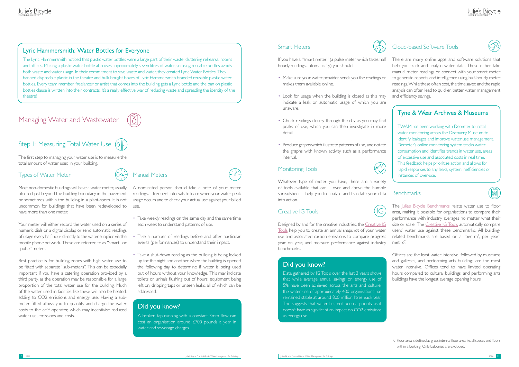# Managing Water and Wastewater



# Step I: Measuring Total Water Use  $(\lozenge \frac{1}{\mathbb{R}})$

The first step to managing your water use is to measure the total amount of water used in your building.

#### Types of Water Meter

Most non-domestic buildings will have a water meter, usually situated just beyond the building boundary in the pavement or sometimes within the building in a plant-room. It is not uncommon for buildings that have been redeveloped to have more than one meter.

Your meter will either record the water used on a series of numeric dials or a digital display, or send automatic readings of usage every half hour directly to the water supplier via the mobile phone network. These are referred to as "smart" or "pulse" meters.

<span id="page-5-0"></span>Best practice is for building zones with high water use to be fitted with separate "sub-meters". This can be especially important if you have a catering operation provided by a third party, as the operation may be responsible for a large proportion of the total water use for the building. Much of the water used in facilities like these will also be heated, adding to CO2 emissions and energy use. Having a submeter fitted allows you to quantify and charge the water costs to the café operator, which may incentivise reduced water use, emissions and costs.

Manual Meters

A nominated person should take a note of your meter readings at frequent intervals to learn when your water peak usage occurs and to check your actual use against your billed use.

There are many online apps and software solutions that help you track and analyse water data. These either take manual meter readings or connect with your smart meter to generate reports and intelligence using half-hourly meter readings. While these often cost, the time saved and the rapid analysis can often lead to quicker, better water management and efficiency savings.

- Take weekly readings on the same day and the same time each week to understand patterns of use.
- Take a number of readings before and after particular events (performances) to understand their impact.
- Take a shut-down reading as the building is being locked up for the night and another when the building is opened the following day to determine if water is being used out of hours without your knowledge. This may indicate toilets or urinals flushing out of hours, equipment being left on, dripping taps or unseen leaks, all of which can be addressed.

Offices are the least water intensive, followed by museums and galleries, and performing arts buildings are the most water intensive. Offices tend to have limited operating hours compared to cultural buildings, and performing arts buildings have the longest average opening hours.

#### Smart Meters



If you have a "smart meter" (a pulse meter which takes half hourly readings automatically) you should:

Data gathered by *IG* Tools over the last 3 years shows that while average annual savings on energy use of 5% have been achieved across the arts and culture, the water use of approximately 400 organisations has remained stable at around 800 million litres each year. This suggests that water has not been a priority as it doesn't have as significant an impact on CO2 emissions as energy use.

- Make sure your water provider sends you the readings or makes them available online.
- Look for usage when the building is closed as this may indicate a leak or automatic usage of which you are unaware.
- Check readings closely through the day as you may find peaks of use, which you can then investigate in more detail.
- Produce graphs which illustrate patterns of use, and notate the graphs with known activity such as a performance interval.

#### Monitoring Tools

Whatever type of meter you have, there are a variety of tools available that can – over and above the humble spreadsheet – help you to analyse and translate your data into action.

#### Creative IG Tools

 $IG$ 

Designed by and for the creative industries, the [Creative IG](http://www.ig-tools.com)  [Tools](http://www.ig-tools.com) help you to create an annual snapshot of your water use and associated carbon emissions to compare progress year on year, and measure performance against industry benchmarks.

#### Cloud-based Software Tools

#### Did you know?

A broken tap running with a constant 3mm flow can cost an organisation around £700 pounds a year in water and sewerage charges.

#### Did you know?

#### Tyne & Wear Archives & Museums

TWAM has been working with Demeter to install water monitoring across the Discovery Museum to identify leakages and improve water use management. Demeter's online monitoring system tracks water consumption and identifies trends in water use, areas of excessive use and associated costs in real time. This feedback helps prioritize action and allows for rapid responses to any leaks, system inefficiencies or instances of over-use.

#### **Benchmarks**

The [Julie's Bicycle Benchmarks](http://www.juliesbicycle.com/services/ig-tools/julies-bicycle-benchmarks) relate water use to floor area, making it possible for organisations to compare their performance with industry averages no matter what their size or scale. The [Creative IG Tools](http://www.ig-tools.com) automatically compare users' water use against these benchmarks. All buildingrelated benchmarks are based on a "per  $m<sup>2</sup>$ , per year" metric<sup>7</sup>.

#### Lyric Hammersmith: Water Bottles for Everyone

The Lyric Hammersmith noticed that plastic water bottles were a large part of their waste, cluttering rehearsal rooms and offices. Making a plastic water bottle also uses approximately seven litres of water, so using reusable bottles avoids both waste and water usage. In their commitment to save waste and water, they created Lyric Water Bottles. They banned disposable plastic in the theatre and bulk bought boxes of Lyric Hammersmith branded reusable plastic water bottles. Every team member, freelancer or artist that comes into the building gets a Lyric bottle and the ban on plastic bottles clause is written into their contracts. It's a really effective way of reducing waste and spreading the identity of the theatre!

> 7. Floor area is defined as gross internal floor area, i.e. all spaces and floors within a building. Only balconies are excluded.



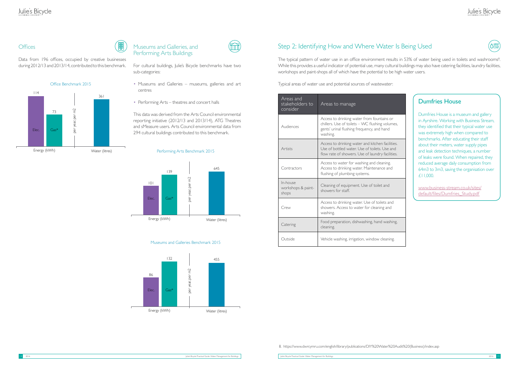# Julie's Bicycle

#### Offices

Data from 196 offices, occupied by creative businesses during 2012/13 and 2013/14, contributed to this benchmark.

| Areas and<br>stakeholders to<br>consider | Areas to manage                                                                                                                                         |
|------------------------------------------|---------------------------------------------------------------------------------------------------------------------------------------------------------|
| Audiences                                | Access to drinking water from fountains or<br>chillers. Use of toilets - WC flushing volumes,<br>gents' urinal flushing frequency, and hand<br>washing. |
| Artists                                  | Access to drinking water and kitchen facilities.<br>Use of bottled water. Use of toilets, Use and<br>flow rate of showers. Use of laundry facilities.   |
| Contractors                              | Access to water for washing and cleaning.<br>Access to drinking water. Maintenance and<br>flushing of plumbing systems.                                 |
| In-house<br>workshops & paint-<br>shops  | Cleaning of equipment. Use of toilet and<br>showers for staff.                                                                                          |
| Crew                                     | Access to drinking water. Use of toilets and<br>showers. Access to water for cleaning and<br>washing.                                                   |
| Catering                                 | Food preparation, dishwashing, hand washing,<br>cleaning.                                                                                               |
| Outside                                  | Vehicle washing, irrigation, window cleaning.                                                                                                           |

The typical pattern of water use in an office environment results in 53% of water being used in toilets and washrooms<sup>8</sup>. While this provides a useful indicator of potential use, many cultural buildings may also have catering facilities, laundry facilities, workshops and paint-shops all of which have the potential to be high water users.

#### Museums and Galleries, and Performing Arts Buildings

For cultural buildings, Julie's Bicycle benchmarks have two sub-categories:

- Museums and Galleries museums, galleries and art centres
- Performing Arts theatres and concert halls

This data was derived from the Arts Council environmental reporting initiative (2012/13 and 2013/14), ATG Theatres and sMeasure users. Arts Council environmental data from 294 cultural buildings contributed to this benchmark.

#### Performing Arts Benchmark 2015

# Step 2: Identifying How and Where Water Is Being Used

Typical areas of water use and potential sources of wastewater:

8. https://www.dwrcymru.com/english/library/publications/DIY%20Water%20Audit%20(Business)/index.asp



| r<br>nes,          |  |
|--------------------|--|
| ies.<br>nd<br>ies. |  |
| l                  |  |
|                    |  |

# Dumfries House

Dumfries House is a museum and gallery in Ayrshire. Working with Business Stream, they identified that their typical water use was extremely high when compared to benchmarks. After educating their staff about their meters, water supply pipes and leak detection techniques, a number of leaks were found. When repaired, they reduced average daily consumption from 64m3 to 3m3, saving the organisation over £11,000.

[www.business-stream.co.uk/sites/](http://www.business-stream.co.uk/sites/default/files/Dumfries_Study.pdf) [default/files/Dumfries\\_Study.pdf](http://www.business-stream.co.uk/sites/default/files/Dumfries_Study.pdf)





#### Museums and Galleries Benchmark 2015

<span id="page-6-0"></span>

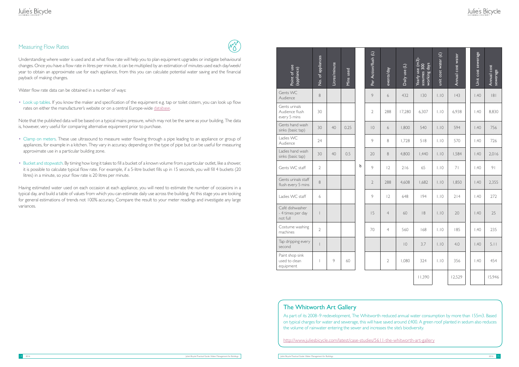#### Measuring Flow Rates

Understanding where water is used and at what flow rate will help you to plan equipment upgrades or instigate behavioural changes. Once you have a flow rate in litres per minute, it can be multiplied by an estimation of minutes used each day/week/ year to obtain an approximate use for each appliance, from this you can calculate potential water saving and the financial payback of making changes.

Water flow rate data can be obtained in a number of ways:

• Look up tables. If you know the maker and specification of the equipment e.g. tap or toilet cistern, you can look up flow rates on either the manufacturer's website or on a central Europe-wide [database](http://www.europeanwaterlabel.eu/home.asp).

Note that the published data will be based on a typical mains pressure, which may not be the same as your building. The data is, however, very useful for comparing alternative equipment prior to purchase.

- Clamp on meters. These use ultrasound to measure water flowing through a pipe leading to an appliance or group of appliances, for example in a kitchen. They vary in accuracy depending on the type of pipe but can be useful for measuring approximate use in a particular building zone.
- Bucket and stopwatch. By timing how long it takes to fill a bucket of a known volume from a particular outlet, like a shower, it is possible to calculate typical flow rate. For example, if a 5-litre bucket fills up in 15 seconds, you will fill 4 buckets (20 litres) in a minute, so your flow rate is 20 litres per minute.

<span id="page-7-0"></span>Having estimated water used on each occasion at each appliance, you will need to estimate the number of occasions in a typical day, and build a table of values from which you can estimate daily use across the building. At this stage you are looking for general estimations of trends not 100% accuracy. Compare the result to your meter readings and investigate any large variances.

# $\mathcal{N}$

#### The Whitworth Art Gallery

# Julie's Bicycle

| Point of use<br>(appliance)                                                                                                                                                                                                                                                                                                                                                                                                                   | No. of appliances        | Litres/minute | Mins used |   | Per Action/flush (L) | events/day       | Daily use (L) | Yearly use $(m3)$ -<br>assumes $300$<br>working days | unit cost water $(f)$ | Annual cost water | Unit cost sewerage | Annual cost<br>sewerage |
|-----------------------------------------------------------------------------------------------------------------------------------------------------------------------------------------------------------------------------------------------------------------------------------------------------------------------------------------------------------------------------------------------------------------------------------------------|--------------------------|---------------|-----------|---|----------------------|------------------|---------------|------------------------------------------------------|-----------------------|-------------------|--------------------|-------------------------|
| Gents WC<br>Audience                                                                                                                                                                                                                                                                                                                                                                                                                          | $\,8\,$                  |               |           |   | 9                    | 6                | 432           | 130                                                  | . 0                   | 43                | 1.40               | 8                       |
| Gents urinals<br>Audience flush<br>every 5 mins                                                                                                                                                                                                                                                                                                                                                                                               | 30                       |               |           |   | $\overline{2}$       | 288              | 17,280        | 6,307                                                | . 0                   | 6,938             | 1.40               | 8,830                   |
| Gents hand wash<br>sinks (basic tap)                                                                                                                                                                                                                                                                                                                                                                                                          | 30                       | 40            | 0.25      |   | $\overline{0}$       | $\boldsymbol{6}$ | 1,800         | 540                                                  | . 0                   | 594               | 1.40               | 756                     |
| Ladies WC<br>Audience                                                                                                                                                                                                                                                                                                                                                                                                                         | 24                       |               |           |   | 9                    | $\,8\,$          | 1,728         | 518                                                  | . 0                   | 570               | 1.40               | 726                     |
| Ladies hand wash<br>sinks (basic tap)                                                                                                                                                                                                                                                                                                                                                                                                         | 30                       | 40            | 0.5       |   | 20                   | 8                | 4,800         | 1,440                                                | . 0                   | 1,584             | 1.40               | 2,016                   |
| Gents WC staff                                                                                                                                                                                                                                                                                                                                                                                                                                | $\mathbf{2}$             |               |           | ð | 9                    | 12               | 216           | 65                                                   | . 0                   | 71                | 1.40               | 9 <sub>1</sub>          |
| Gents urinals staff<br>flush every 5 mins                                                                                                                                                                                                                                                                                                                                                                                                     | $\,8\,$                  |               |           |   | $\overline{2}$       | 288              | 4,608         | 1,682                                                | . 0                   | 1,850             | 1.40               | 2,355                   |
| Ladies WC staff                                                                                                                                                                                                                                                                                                                                                                                                                               | $\boldsymbol{6}$         |               |           |   | 9                    | 12               | 648           | 194                                                  | . 0                   | 214               | 1.40               | 272                     |
| Café dishwasher<br>- 4 times per day<br>not full                                                                                                                                                                                                                                                                                                                                                                                              | $\overline{\phantom{a}}$ |               |           |   | 15                   | $\overline{4}$   | 60            | 8                                                    | . 0                   | 20                | 1.40               | 25                      |
| Costume washing<br>machines                                                                                                                                                                                                                                                                                                                                                                                                                   | $\mathbf{2}$             |               |           |   | 70                   | $\overline{4}$   | 560           | 168                                                  | . 0                   | 185               | 1.40               | 235                     |
| Tap dripping every<br>second                                                                                                                                                                                                                                                                                                                                                                                                                  |                          |               |           |   |                      |                  | 0             | 3.7                                                  | . 0                   | 4.0               | 1.40               | 5.11                    |
| Paint shop sink<br>used to clean<br>equipment                                                                                                                                                                                                                                                                                                                                                                                                 | $\overline{\phantom{a}}$ | 9             | 60        |   |                      | $\overline{2}$   | 1,080         | 324                                                  | . 0                   | 356               | 1.40               | 454                     |
|                                                                                                                                                                                                                                                                                                                                                                                                                                               |                          |               |           |   |                      |                  |               | 11,390                                               |                       | 12,529            |                    | 15,946                  |
|                                                                                                                                                                                                                                                                                                                                                                                                                                               |                          |               |           |   |                      |                  |               |                                                      |                       |                   |                    |                         |
| The Whitworth Art Gallery<br>As part of its 2008-9 redevelopment, The Whitworth reduced annual water consumption by more than 155m3. Based<br>on typical charges for water and sewerage, this will have saved around £400. A green roof planted in sedum also reduces<br>the volume of rainwater entering the sewer and increases the site's biodiversity.<br>http://www.juliesbicycle.com/latest/case-studies/5611-the-whitworth-art-gallery |                          |               |           |   |                      |                  |               |                                                      |                       |                   |                    |                         |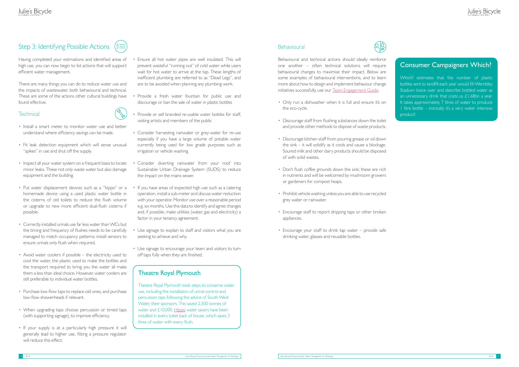# Step 3: Identifying Possible Actions ( $\equiv$



Having completed your estimations and identified areas of high use, you can now begin to list actions that will support efficient water management.

There are many things you can do to reduce water use and the impacts of wastewater, both behavioural and technical. These are some of the actions other cultural buildings have found effective.

#### **Technical**



- Install a smart meter to monitor water use and better understand where efficiency savings can be made.
- Fit leak detection equipment which will sense unusual "spikes" in use and shut off the supply.
- Inspect all your water system on a frequent basis to locate minor leaks. These not only waste water but also damage equipment and the building.
- Put water displacement devices such as a "hippo" or a homemade device using a used plastic water bottle in the cisterns of old toilets to reduce the flush volume or upgrade to new more efficient dual-flush cisterns if possible.
- Correctly installed urinals use far less water than WCs but the timing and frequency of flushes needs to be carefully managed to match occupancy patterns; install sensors to ensure urinals only flush when required.
- Avoid water coolers if possible the electricity used to cool the water, the plastic used to make the bottles and the transport required to bring you the water all make them a less than ideal choice. However, water coolers are still preferable to individual water bottles.
- Purchase low-flow taps to replace old ones, and purchase low-flow showerheads if relevant.
- When upgrading taps choose percussion or timed taps (with supporting signage), to improve efficiency.
- <span id="page-8-0"></span>• If your supply is at a particularly high pressure it will generally lead to higher use, fitting a pressure regulator will reduce this effect.
- Ensure all hot water pipes are well insulated. This will prevent wasteful "running out" of cold water while users wait for hot water to arrive at the tap. These lengths of inefficient plumbing are referred to as "Dead Legs", and are to be avoided when planning any plumbing work.
- Provide a fresh water fountain for public use and discourage or ban the sale of water in plastic bottles
- Provide or sell branded re-usable water bottles for staff, visiting artists and members of the public
- Consider harvesting rainwater or grey-water for re-use especially if you have a large volume of potable water currently being used for low grade purposes such as irrigation or vehicle washing.
- Consider diverting rainwater from your roof into Sustainable Urban Drainage System (SUDS) to reduce the impact on the mains sewer.
- If you have areas of expected high use such as a catering operation, install a sub-meter and discuss water reduction with your operator. Monitor use over a reasonable period e.g. six months. Use this data to identify and agree changes and, if possible, make utilities (water, gas and electricity) a factor in your tenancy agreement.
- Use signage to explain to staff and visitors what you are seeking to achieve and why.
- Use signage to encourage your team and visitors to turn off taps fully when they are finished.

Behavioural and technical actions should ideally reinforce one another – often technical solutions will require behavioural changes to maximise their impact. Below are some examples of behavioural interventions, and to learn more about how to design and implement behaviour change initiatives successfully, use our [Team Engagement Guide.](http://www.juliesbicycle.com/resources/team-engagement-guide)

- Only run a dishwasher when it is full and ensure it's on the eco-cycle.
- Discourage staff from flushing substances down the toilet and provide other methods to dispose of waste products.
- Discourage kitchen staff from pouring grease or oil down the sink – it will solidify as it cools and cause a blockage. Soured milk and other dairy products should be disposed of with solid wastes.
- Don't flush coffee grounds down the sink; these are rich in nutrients and will be welcomed by mushroom growers or gardeners for compost heaps.
- Prohibit vehicle washing unless you are able to use recycled grey water or rainwater.
- Encourage staff to report dripping taps or other broken appliances.
- Encourage your staff to drink tap water  $-$  provide safe drinking water, glasses and reusable bottles.

#### Theatre Royal Plymouth

Theatre Royal Plymouth took steps to conserve water use, including the installation of urinal control and percussion taps following the advice of South West Water, their sponsors. This saved 2,300 tonnes of water and £10,000. [Hippo](http://www.hippo-the-watersaver.co.uk/forthehome.html) water savers have been installed in every toilet back of house, which saves 3 litres of water with every flush.

#### **Behavioural**



#### Consumer Campaigners Which?

Which? estimates that the number of plastic bottles sent to landfill each year would fill Wembley Stadium twice over and describe bottled water as an unnecessary drink that costs us £1.68bn a year. It takes approximately 7 litres of water to produce 1 litre bottle – ironically it's a very water intensive product!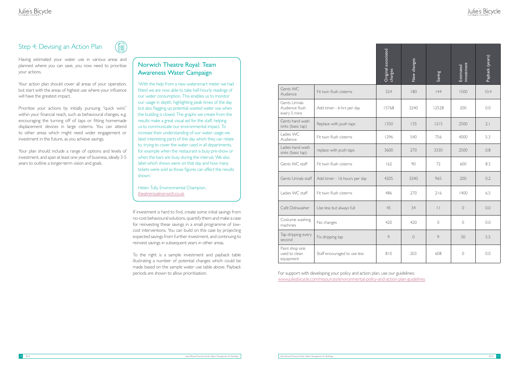#### Step 4: Devising an Action Plan



Having estimated your water use in various areas and planned where you can save, you now need to prioritise your actions.

Your action plan should cover all areas of your operation, but start with the areas of highest use where your influence will have the greatest impact.

Prioritise your actions by initially pursuing "quick wins" within your financial reach, such as behavioural changes, e.g. encouraging the turning off of taps or fitting homemade displacement devices in large cisterns. You can attend to other areas which might need wider engagement or investment in the future, as you achieve savings.

Your plan should include a range of options and levels of investment, and span at least one year of business, ideally 3-5 years to outline a longer-term vision and goals.

> If investment is hard to find, create some initial savings from no-cost behavioural solutions, quantify them and make a case for reinvesting these savings in a small programme of lowcost interventions. You can build on this case by projecting expected savings from further investment, and continuing to reinvest savings in subsequent years in other areas.

> To the right is a sample investment and payback table illustrating a number of potential changes which could be made based on the sample water use table above. Payback

|                                                                                                                                                                 |                              | Original associated<br>charges | New changes | Saving          | investment<br>Estimated | Payback (years) |  |
|-----------------------------------------------------------------------------------------------------------------------------------------------------------------|------------------------------|--------------------------------|-------------|-----------------|-------------------------|-----------------|--|
| Gents WC<br>Audience                                                                                                                                            | Fit twin flush cisterns      | 324                            | 180         | 44              | 1500                    | 10.4            |  |
| Gents Urinals<br>Audience flush<br>every 5 mins                                                                                                                 | Add timer - 6 hrs per day    | 15768                          | 3240        | 12528           | 200                     | 0.0             |  |
| Gents hand wash<br>sinks (basic tap)                                                                                                                            | Replace with push taps       | 1350                           | 135         | $1215$          | 2500                    | 2.1             |  |
| Ladies WC<br>Audience                                                                                                                                           | Fit twin flush cisterns      | 1296                           | 540         | 756             | 4000                    | 5.3             |  |
| Ladies hand wash<br>sinks (basic tap)                                                                                                                           | replace with push taps       | 3600                           | 270         | 3330            | 2500                    | 0.8             |  |
| Gents WC staff                                                                                                                                                  | Fit twin flush cisterns      | 162                            | 90          | 72              | 600                     | 8.3             |  |
| Gents Urinals staff                                                                                                                                             | Add timer - 16 hours per day | 4205                           | 3240        | 965             | 200                     | 0.2             |  |
| Ladies WC staff                                                                                                                                                 | Fit twin flush cisterns      | 486                            | 270         | 216             | 1400                    | 6.5             |  |
| Café Dishwasher                                                                                                                                                 | Use less but always full     | 45                             | 34          | $\vert \ \vert$ | $\overline{0}$          | 0.0             |  |
| Costume washing<br>machines                                                                                                                                     | No changes                   | 420                            | 420         | $\bigcirc$      | $\bigcirc$              | 0.0             |  |
| Tap dripping every<br>second                                                                                                                                    | Fix dripping tap             | 9                              | $\bigcirc$  | 9               | 50                      | 5.5             |  |
| Paint shop sink<br>used to clean<br>equipment                                                                                                                   | Staff encouraged to use less | 810                            | 203         | 608             | $\circ$                 | 0.0             |  |
| For support with developing your policy and action plan, use our guidelines:<br>www.juliesbicycle.com/resources/environmental-policy-and-action-plan-guidelines |                              |                                |             |                 |                         |                 |  |

<span id="page-9-0"></span>periods are shown to allow prioritisation. The state of the support with developing your policy and action plan, use our guidelines:

# Julie's Bicycle

#### Norwich Theatre Royal: Team Awareness Water Campaign

'With the help from a new watersmart meter we had fitted we are now able to take half-hourly readings of our water consumption. This enables us to monitor our usage in depth, highlighting peak times of the day but also flagging up potential wasted water use when the building is closed. The graphs we create from the results make a great visual aid for the staff, helping us to communicate our environmental impact. To increase their understanding of our water usage we label interesting parts of the day which they can relate to, trying to cover the water used in all departments, for example when the restaurant is busy pre-show or when the bars are busy during the interval. We also label which shows were on that day and how many tickets were sold as those figures can affect the results shown.'

Helen Tully, Environmental Champion, <theatreroyalnorwich.co.uk>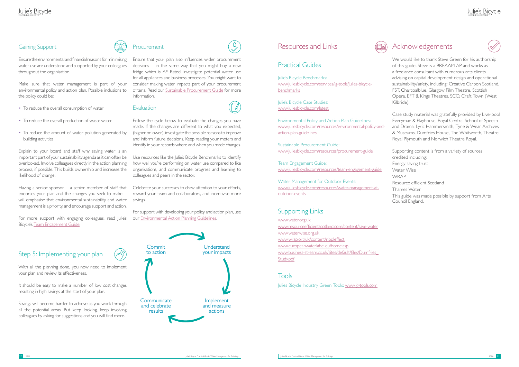#### Gaining Support



Ensure the environmental and financial reasons for minimising water use are understood and supported by your colleagues throughout the organisation.

Make sure that water management is part of your environmental policy and action plan. Possible inclusions to the policy could be:

Explain to your board and staff why saving water is an important part of your sustainability agenda as it can often be overlooked. Involve colleagues directly in the action planning process, if possible. This builds ownership and increases the likelihood of change.

- To reduce the overall consumption of water
- To reduce the overall production of waste water
- To reduce the amount of water pollution generated by building activities

Having a senior sponsor  $-$  a senior member of staff that endorses your plan and the changes you seek to make – will emphasise that environmental sustainability and water management is a priority, and encourage support and action.

With all the planning done, you now need to implement your plan and review its effectiveness.

It should be easy to make a number of low cost changes resulting in high savings at the start of your plan.

For more support with engaging colleagues, read Julie's Bicycle's [Team Engagement Guide.](http://www.juliesbicycle.com/resources/team-engagement-guide)

# Step 5: Implementing your plan

Celebrate your successes to draw attention to your efforts, reward your team and collaborators, and incentivise more savings.

Julie's Bicycle Benchmarks: [www.juliesbicycle.com/services/ig-tools/julies-bicycle](www.juliesbicycle.com/services/ig-tools/julies-bicycle-benchmarks)[benchmarks](www.juliesbicycle.com/services/ig-tools/julies-bicycle-benchmarks)

<span id="page-10-0"></span>Savings will become harder to achieve as you work through all the potential areas. But keep looking, keep involving colleagues by asking for suggestions and you will find more.



Ensure that your plan also influences wider procurement decisions – in the same way that you might buy a new fridge which is A\* Rated, investigate potential water use for all appliances and business processes. You might want to consider making water impacts part of your procurement criteria. Read our [Sustainable Procurement Guide](http://www.juliesbicycle.com/resources/procurement-guide) for more information.

 $\overline{0}$ 

#### Evaluation

Follow the cycle below to evaluate the changes you have made. If the changes are different to what you expected, (higher or lower), investigate the possible reasons to improve and inform future decisions. Keep reading your meters and identify in your records where and when you made changes.

Use resources like the Julie's Bicycle Benchmarks to identify how well you're performing on water use compared to like organisations, and communicate progress and learning to colleagues and peers in the sector.

For support with developing your policy and action plan, use our [Environmental Action Planning Guidelines](http://www.juliesbicycle.com/resources/environmental-policy-and-action-plan-guidelines).

#### Resources and Links



Julie's Bicycle Case Studies: [www.juliesbicycle.com/latest](http://www.juliesbicycle.com/latest)

Environmental Policy and Action Plan Guidelines: [www.juliesbicycle.com/resources/environmental-policy-and](http://www.juliesbicycle.com/resources/environmental-policy-and-action-plan-guidelines)[action-plan-guidelines](http://www.juliesbicycle.com/resources/environmental-policy-and-action-plan-guidelines)

Sustainable Procurement Guide: [www.juliesbicycle.com/resources/procurement-guide](http://www.juliesbicycle.com/resources/procurement-guide)

Team Engagement Guide: <www.juliesbicycle.com/resources/team-engagement-guide>

Water Management for Outdoor Events: [www.juliesbicycle.com/resources/water-management-at](http://www.juliesbicycle.com/resources/water-management-at-outdoor-events)[outdoor-events](http://www.juliesbicycle.com/resources/water-management-at-outdoor-events)

#### Supporting Links

<www.water.org.uk> www.resourceefficientscotland.com/content/save-water <www.waterwise.org.uk> www.wrap.org.uk/content/rippleffect <www.europeanwaterlabel.eu/home.asp> [www.business-stream.co.uk/sites/default/files/Dumfries\\_](http://www.business-stream.co.uk/sites/default/files/Dumfries_Study.pdf) [Study.pdf](http://www.business-stream.co.uk/sites/default/files/Dumfries_Study.pdf)

#### Tools

Julies Bicycle Industry Green Tools: [www.ig-tools.com](https://ig-tools.com/)

# Acknowledgements



We would like to thank Steve Green for his authorship of this guide. Steve is a BREAAM AP and works as a freelance consultant with numerous arts clients advising on capital development design and operational sustainability/safety, including: Creative Carbon Scotland, FST, Charcoalblue, Glasgow Film Theatre, Scottish Opera, EFT & Kings Theatres, SCO, Craft Town (West Kilbride).

Case study material was gratefully provided by Liverpool Everyman & Playhouse, Royal Central School of Speech and Drama, Lyric Hammersmith, Tyne & Wear Archives & Museums, Dumfries House, The Whitworth, Theatre Royal Plymouth and Norwich Theatre Royal.

Supporting content is from a variety of sources credited including:

Energy saving trust

Water Wise

WRAP

Resource efficient Scotland

Thames Water

This guide was made possible by support from Arts Council England.